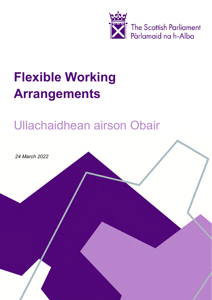

# **Flexible Working Arrangements**

# Ullachaidhean airson Obair

*24 March 2022*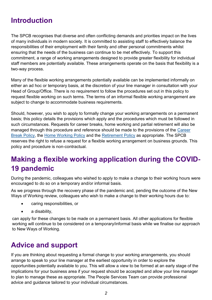### **Introduction**

The SPCB recognises that diverse and often conflicting demands and priorities impact on the lives of many individuals in modern society. It is committed to assisting staff to effectively balance the responsibilities of their employment with their family and other personal commitments whilst ensuring that the needs of the business can continue to be met effectively. To support this commitment, a range of working arrangements designed to provide greater flexibility for individual staff members are potentially available. These arrangements operate on the basis that flexibility is a two-way process.

Many of the flexible working arrangements potentially available can be implemented informally on either an ad hoc or temporary basis, at the discretion of your line manager in consultation with your Head of Group/Office. There is no requirement to follow the procedures set out in this policy to request flexible working on such terms. The terms of an informal flexible working arrangement are subject to change to accommodate business requirements.

Should, however, you wish to apply to formally change your working arrangements on a permanent basis; this policy details the provisions which apply and the procedures which must be followed in such circumstances. Requests for career breaks, home working and partial retirement will also be managed through this procedure and reference should be made to the provisions of the [Career](https://www.spstaffhandbook.com/career-breaks)  [Break Policy,](https://www.spstaffhandbook.com/career-breaks) the [Home Working Policy](#page-7-0) and the [Retirement Policy](https://www.spstaffhandbook.com/retirement) as appropriate. The SPCB reserves the right to refuse a request for a flexible working arrangement on business grounds. This policy and procedure is non-contractual.

# **Making a flexible working application during the COVID-19 pandemic**

During the pandemic, colleagues who wished to apply to make a change to their working hours were encouraged to do so on a temporary and/or informal basis.

As we progress through the recovery phase of the pandemic and, pending the outcome of the New Ways of Working review, colleagues who wish to make a change to their working hours due to:

- caring responsibilities, or
- a disability,

can apply for these changes to be made on a permanent basis. All other applications for flexible working will continue to be considered on a temporary/informal basis while we finalise our approach to New Ways of Working.

### **Advice and support**

If you are thinking about requesting a formal change to your working arrangements, you should arrange to speak to your line manager at the earliest opportunity in order to explore the opportunities potentially available to you. This will allow a view to be formed at an early stage of the implications for your business area if your request should be accepted and allow your line manager to plan to manage these as appropriate. The People Services Team can provide professional advice and guidance tailored to your individual circumstances.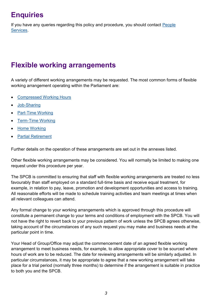# **Enquiries**

If you have any queries regarding this policy and procedure, you should contact [People](mailto:PeopleandCulture@parliament.scot)  [Services.](mailto:PeopleandCulture@parliament.scot)

## **Flexible working arrangements**

A variety of different working arrangements may be requested. The most common forms of flexible working arrangement operating within the Parliament are:

- **[Compressed Working Hours](#page-3-0)**
- Job-[Sharing](#page-4-0)
- **Part-[Time Working](#page-5-0)**
- Term-[Time Working](#page-6-0)
- [Home Working](#page-7-0)
- **[Partial Retirement](https://www.spstaffhandbook.com/retirement)**

Further details on the operation of these arrangements are set out in the annexes listed.

Other flexible working arrangements may be considered. You will normally be limited to making one request under this procedure per year.

The SPCB is committed to ensuring that staff with flexible working arrangements are treated no less favourably than staff employed on a standard full-time basis and receive equal treatment, for example, in relation to pay, leave, promotion and development opportunities and access to training. All reasonable efforts will be made to schedule training activities and team meetings at times when all relevant colleagues can attend.

Any formal change to your working arrangements which is approved through this procedure will constitute a permanent change to your terms and conditions of employment with the SPCB. You will not have the right to revert back to your previous pattern of work unless the SPCB agrees otherwise, taking account of the circumstances of any such request you may make and business needs at the particular point in time.

Your Head of Group/Office may adjust the commencement date of an agreed flexible working arrangement to meet business needs, for example, to allow appropriate cover to be sourced where hours of work are to be reduced. The date for reviewing arrangements will be similarly adjusted. In particular circumstances, it may be appropriate to agree that a new working arrangement will take place for a trial period (normally three months) to determine if the arrangement is suitable in practice to both you and the SPCB.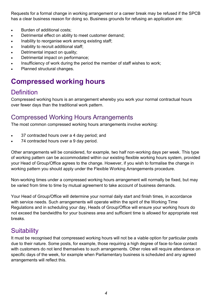<span id="page-3-0"></span>Requests for a formal change in working arrangement or a career break may be refused if the SPCB has a clear business reason for doing so. Business grounds for refusing an application are:

- Burden of additional costs;
- Detrimental effect on ability to meet customer demand;
- Inability to reorganise work among existing staff:
- Inability to recruit additional staff;
- Detrimental impact on quality;
- Detrimental impact on performance;
- Insufficiency of work during the period the member of staff wishes to work;
- Planned structural changes.

## **Compressed working hours**

#### **Definition**

Compressed working hours is an arrangement whereby you work your normal contractual hours over fewer days than the traditional work pattern.

#### Compressed Working Hours Arrangements

The most common compressed working hours arrangements involve working:

- 37 contracted hours over a 4 day period; and
- 74 contracted hours over a 9 day period.

Other arrangements will be considered, for example, two half non-working days per week. This type of working pattern can be accommodated within our existing flexible working hours system, provided your Head of Group/Office agrees to the change. However, if you wish to formalise the change in working pattern you should apply under the Flexible Working Arrangements procedure.

Non-working times under a compressed working hours arrangement will normally be fixed, but may be varied from time to time by mutual agreement to take account of business demands.

Your Head of Group/Office will determine your normal daily start and finish times, in accordance with service needs. Such arrangements will operate within the spirit of the Working Time Regulations and in scheduling your day, Heads of Group/Office will ensure your working hours do not exceed the bandwidths for your business area and sufficient time is allowed for appropriate rest breaks.

#### **Suitability**

It must be recognised that compressed working hours will not be a viable option for particular posts due to their nature. Some posts, for example, those requiring a high degree of face-to-face contact with customers do not lend themselves to such arrangements. Other roles will require attendance on specific days of the week, for example when Parliamentary business is scheduled and any agreed arrangements will reflect this.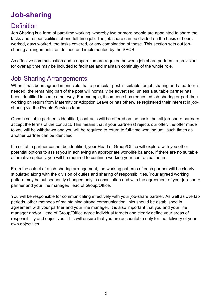# <span id="page-4-0"></span>**Job-sharing**

#### **Definition**

Job Sharing is a form of part-time working, whereby two or more people are appointed to share the tasks and responsibilities of one full-time job. The job share can be divided on the basis of hours worked, days worked, the tasks covered, or any combination of these. This section sets out jobsharing arrangements, as defined and implemented by the SPCB.

As effective communication and co-operation are required between job share partners, a provision for overlap time may be included to facilitate and maintain continuity of the whole role.

#### Job-Sharing Arrangements

When it has been agreed in principle that a particular post is suitable for job sharing and a partner is needed, the remaining part of the post will normally be advertised, unless a suitable partner has been identified in some other way. For example, if someone has requested job-sharing or part-time working on return from Maternity or Adoption Leave or has otherwise registered their interest in jobsharing via the People Services team.

Once a suitable partner is identified, contracts will be offered on the basis that all job-share partners accept the terms of the contract. This means that if your partner(s) rejects our offer, the offer made to you will be withdrawn and you will be required to return to full-time working until such times as another partner can be identified.

If a suitable partner cannot be identified, your Head of Group/Office will explore with you other potential options to assist you in achieving an appropriate work-life balance. If there are no suitable alternative options, you will be required to continue working your contractual hours.

From the outset of a job-sharing arrangement, the working patterns of each partner will be clearly stipulated along with the division of duties and sharing of responsibilities. Your agreed working pattern may be subsequently changed only in consultation and with the agreement of your job-share partner and your line manager/Head of Group/Office.

You will be responsible for communicating effectively with your job-share partner. As well as overlap periods, other methods of maintaining strong communication links should be established in agreement with your partner and your line manager. It is also important that you and your line manager and/or Head of Group/Office agree individual targets and clearly define your areas of responsibility and objectives. This will ensure that you are accountable only for the delivery of your own objectives.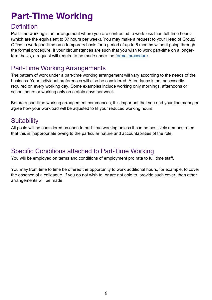# <span id="page-5-0"></span>**Part-Time Working**

#### **Definition**

Part-time working is an arrangement where you are contracted to work less than full-time hours (which are the equivalent to 37 hours per week). You may make a request to your Head of Group/ Office to work part-time on a temporary basis for a period of up to 6 months without going through the formal procedure. If your circumstances are such that you wish to work part-time on a longerterm basis, a request will require to be made under the [formal procedure.](https://www.spstaffhandbook.com/your-pay-hours-holidays#:~:text=working%20policy%C2%A0and-,procedure,-%2C%20and%20in%20the) 

#### Part-Time Working Arrangements

The pattern of work under a part-time working arrangement will vary according to the needs of the business. Your individual preferences will also be considered. Attendance is not necessarily required on every working day. Some examples include working only mornings, afternoons or school hours or working only on certain days per week.

Before a part-time working arrangement commences, it is important that you and your line manager agree how your workload will be adjusted to fit your reduced working hours.

#### **Suitability**

All posts will be considered as open to part-time working unless it can be positively demonstrated that this is inappropriate owing to the particular nature and accountabilities of the role.

#### Specific Conditions attached to Part-Time Working

You will be employed on terms and conditions of employment pro rata to full time staff.

You may from time to time be offered the opportunity to work additional hours, for example, to cover the absence of a colleague. If you do not wish to, or are not able to, provide such cover, then other arrangements will be made.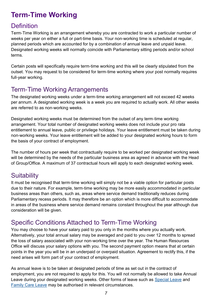# <span id="page-6-0"></span>**Term-Time Working**

#### **Definition**

Term-Time Working is an arrangement whereby you are contracted to work a particular number of weeks per year on either a full or part-time basis. Your non-working time is scheduled at regular, planned periods which are accounted for by a combination of annual leave and unpaid leave. Designated working weeks will normally coincide with Parliamentary sitting periods and/or school terms.

Certain posts will specifically require term-time working and this will be clearly stipulated from the outset. You may request to be considered for term-time working where your post normally requires full-year working.

#### Term-Time Working Arrangements

The designated working weeks under a term-time working arrangement will not exceed 42 weeks per annum. A designated working week is a week you are required to actually work. All other weeks are referred to as non-working weeks.

Designated working weeks must be determined from the outset of any term-time working arrangement. Your total number of designated working weeks does not include your pro rata entitlement to annual leave, public or privilege holidays. Your leave entitlement must be taken during non-working weeks. Your leave entitlement will be added to your designated working hours to form the basis of your contract of employment.

The number of hours per week that contractually require to be worked per designated working week will be determined by the needs of the particular business area as agreed in advance with the Head of Group/Office. A maximum of 37 contractual hours will apply to each designated working week.

#### **Suitability**

It must be recognised that term-time working will simply not be a viable option for particular posts due to their nature. For example, term-time working may be more easily accommodated in particular business areas than others, such as, areas where service demand traditionally reduces during Parliamentary recess periods. It may therefore be an option which is more difficult to accommodate in areas of the business where service demand remains constant throughout the year although due consideration will be given.

#### Specific Conditions Attached to Term-Time Working

You may choose to have your salary paid to you only in the months where you actually work. Alternatively, your total annual salary may be averaged and paid to you over 12 months to spread the loss of salary associated with your non-working time over the year. The Human Resources Office will discuss your salary options with you. The second payment option means that at certain points in the year you will be in an underpaid or overpaid situation. Agreement to rectify this, if the need arises will form part of your contract of employment.

As annual leave is to be taken at designated periods of time as set out in the contract of employment, you are not required to apply for this. You will not normally be allowed to take Annual Leave during your designated working weeks. Other forms of leave such as [Special Leave](https://www.spstaffhandbook.com/special-leave) and [Family Care Leave](https://www.spstaffhandbook.com/being-a-parent) may be authorised in relevant circumstances.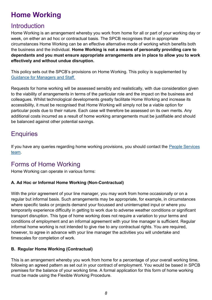# <span id="page-7-0"></span>**Home Working**

#### **Introduction**

Home Working is an arrangement whereby you work from home for all or part of your working day or week, on either an ad hoc or contractual basis. The SPCB recognises that in appropriate circumstances Home Working can be an effective alternative mode of working which benefits both the business and the individual. **Home Working is not a means of personally providing care to dependants and you must ensure appropriate arrangements are in place to allow you to work effectively and without undue disruption.**

This policy sets out the SPCB's provisions on Home Working. This policy is supplemented by [Guidance for Managers and Staff.](https://68e964d4-3a85-4c03-89f7-d6c59f31a423.filesusr.com/ugd/0e32dc_c73950c5ab2a49d3941f6881c053751b.pdf?index=true)

Requests for home working will be assessed sensibly and realistically, with due consideration given to the viability of arrangements in terms of the particular role and the impact on the business and colleagues. Whilst technological developments greatly facilitate Home Working and increase its accessibility, it must be recognised that Home Working will simply not be a viable option for particular posts due to their nature. Each case will therefore be assessed on its own merits. Any additional costs incurred as a result of home working arrangements must be justifiable and should be balanced against other potential savings.

#### **Enquiries**

If you have any queries regarding home working provisions, you should contact the [People Services](mailto:PeopleandCulture@parliament.scot)  [team.](mailto:PeopleandCulture@parliament.scot)

#### Forms of Home Working

Home Working can operate in various forms:

#### **A. Ad Hoc or Informal Home Working (Non-Contractual)**

With the prior agreement of your line manager, you may work from home occasionally or on a regular but informal basis. Such arrangements may be appropriate, for example, in circumstances where specific tasks or projects demand your focussed and uninterrupted input or where you temporarily experience difficulty in getting to work due to adverse weather conditions or significant transport disruption. This type of home working does not require a variation to your terms and conditions of employment and an informal agreement with your line manager is sufficient. Regular informal home working is not intended to give rise to any contractual rights. You are required, however, to agree in advance with your line manager the activities you will undertake and timescales for completion of work.

#### **B. Regular Home Working (Contractual)**

This is an arrangement whereby you work from home for a percentage of your overall working time, following an agreed pattern as set out in your contract of employment. You would be based in SPCB premises for the balance of your working time. A formal application for this form of home working must be made using the Flexible Working Procedure.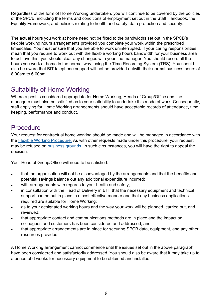Regardless of the form of Home Working undertaken, you will continue to be covered by the policies of the SPCB, including the terms and conditions of employment set out in the Staff Handbook, the Equality Framework, and policies relating to health and safety, data protection and security.

The actual hours you work at home need not be fixed to the bandwidths set out in the SPCB's flexible working hours arrangements provided you complete your work within the prescribed timescales. You must ensure that you are able to work uninterrupted. If your caring responsibilities mean that you require to work out with the flexible working hours bandwidth for your business area to achieve this, you should clear any changes with your line manager. You should record all the hours you work at home in the normal way, using the Time Recording System (TRS). You should also be aware that BIT telephone support will not be provided outwith their normal business hours of 8.00am to 6.00pm.

#### Suitability of Home Working

Where a post is considered appropriate for Home Working, Heads of Group/Office and line managers must also be satisfied as to your suitability to undertake this mode of work. Consequently, staff applying for Home Working arrangements should have acceptable records of attendance, time keeping, performance and conduct.

#### **Procedure**

Your request for contractual home working should be made and will be managed in accordance with the [Flexible Working Procedure.](https://www.spstaffhandbook.com/your-pay-hours-holidays#:~:text=working%20policy%C2%A0and-,procedure,-%2C%20and%20in%20the) As with other requests made under this procedure, your request may be refused on [business grounds.](#page-3-0) In such circumstances, you will have the right to appeal the decision.

Your Head of Group/Office will need to be satisfied:

- that the organisation will not be disadvantaged by the arrangements and that the benefits and potential savings balance out any additional expenditure incurred;
- with arrangements with regards to your health and safety;
- in consultation with the Head of Delivery in BIT, that the necessary equipment and technical support can be put in place in a cost effective manner and that any business applications required are suitable for Home Working;
- as to your designated working hours and the way your work will be planned, carried out, and reviewed;
- that appropriate contact and communications methods are in place and the impact on colleagues and customers has been considered and addressed; and
- that appropriate arrangements are in place for securing SPCB data, equipment, and any other resources provided.

A Home Working arrangement cannot commence until the issues set out in the above paragraph have been considered and satisfactorily addressed. You should also be aware that it may take up to a period of 6 weeks for necessary equipment to be obtained and installed.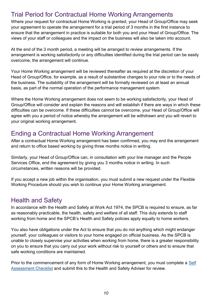#### Trial Period for Contractual Home Working Arrangements

Where your request for contractual Home Working is granted, your Head of Group/Office may seek your agreement to operate the arrangement for a trial period of 3 months in the first instance to ensure that the arrangement in practice is suitable for both you and your Head of Group/Office. The views of your staff or colleagues and the impact on the business will also be taken into account.

At the end of the 3 month period, a meeting will be arranged to review arrangements. If the arrangement is working satisfactorily or any difficulties identified during the trial period can be easily overcome, the arrangement will continue.

Your Home Working arrangement will be reviewed thereafter as required at the discretion of your Head of Group/Office, for example, as a result of substantive changes to your role or to the needs of the business. The suitability of the arrangement will be formally reviewed on at least an annual basis, as part of the normal operation of the performance management system.

Where the Home Working arrangement does not seem to be working satisfactorily, your Head of Group/Office will consider and explain the reasons and will establish if there are ways in which these difficulties can be overcome. If these difficulties cannot be overcome, your Head of Group/Office will agree with you a period of notice whereby the arrangement will be withdrawn and you will revert to your original working arrangement.

#### Ending a Contractual Home Working Arrangement

After a contractual Home Working arrangement has been confirmed, you may end the arrangement and return to office based working by giving three months notice in writing.

Similarly, your Head of Group/Office can, in consultation with your line manager and the People Services Office, end the agreement by giving you 3 months notice in writing. In such circumstances, written reasons will be provided.

If you accept a new job within the organisation, you must submit a new request under the Flexible Working Procedure should you wish to continue your Home Working arrangement.

#### Health and Safety

In accordance with the Health and Safety at Work Act 1974, the SPCB is required to ensure, as far as reasonably practicable, the health, safety and welfare of all staff. This duty extends to staff working from home and the SPCB's Health and Safety policies apply equally to home workers.

You also have obligations under the Act to ensure that you do not anything which might endanger yourself, your colleagues or visitors to your home engaged on official business. As the SPCB is unable to closely supervise your activities when working from home, there is a greater responsibility on you to ensure that you carry out your work without risk to yourself or others and to ensure that safe working conditions are maintained.

Prior to the commencement of any form of Home Working arrangement, you must complete a [Self](https://forms.office.com/Pages/ResponsePage.aspx?id=nMkD1t3PkkKSaADbDQzwgT_exwvzop9Nhs_NKvNC8vtUQkE4MDFDVDdSVFgwT0FNS1VWRFRZSTZRTyQlQCN0PWcu)  [Assessment Checklist](https://forms.office.com/Pages/ResponsePage.aspx?id=nMkD1t3PkkKSaADbDQzwgT_exwvzop9Nhs_NKvNC8vtUQkE4MDFDVDdSVFgwT0FNS1VWRFRZSTZRTyQlQCN0PWcu) and submit this to the Health and Safety Adviser for review.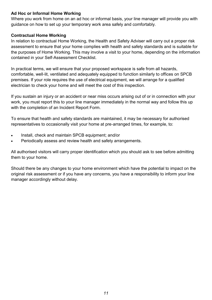#### **Ad Hoc or Informal Home Working**

Where you work from home on an ad hoc or informal basis, your line manager will provide you with guidance on how to set up your temporary work area safely and comfortably.

#### **Contractual Home Working**

In relation to contractual Home Working, the Health and Safety Adviser will carry out a proper risk assessment to ensure that your home complies with health and safety standards and is suitable for the purposes of Home Working. This may involve a visit to your home, depending on the information contained in your Self-Assessment Checklist.

In practical terms, we will ensure that your proposed workspace is safe from all hazards, comfortable, well-lit, ventilated and adequately equipped to function similarly to offices on SPCB premises. If your role requires the use of electrical equipment, we will arrange for a qualified electrician to check your home and will meet the cost of this inspection.

If you sustain an injury or an accident or near miss occurs arising out of or in connection with your work, you must report this to your line manager immediately in the normal way and follow this up with the completion of an Incident Report Form.

To ensure that health and safety standards are maintained, it may be necessary for authorised representatives to occasionally visit your home at pre-arranged times, for example, to:

- Install, check and maintain SPCB equipment; and/or
- Periodically assess and review health and safety arrangements.

All authorised visitors will carry proper identification which you should ask to see before admitting them to your home.

Should there be any changes to your home environment which have the potential to impact on the original risk assessment or if you have any concerns, you have a responsibility to inform your line manager accordingly without delay.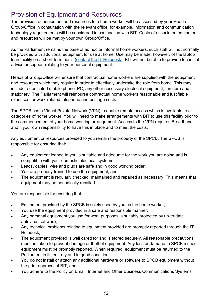#### Provision of Equipment and Resources

The provision of equipment and resources to a home worker will be assessed by your Head of Group/Office in consultation with the relevant office, for example, information and communication technology requirements will be considered in conjunction with BIT. Costs of associated equipment and resources will be met by your own Group/Office.

As the Parliament remains the base of ad hoc or informal home workers, such staff will not normally be provided with additional equipment for use at home. Use may be made, however, of the laptop loan facility on a short-term basis ([contact the IT Helpdesk\)](mailto:ITHelpdesk@parliament.scot). BIT will not be able to provide technical advice or support relating to your personal equipment.

Heads of Group/Office will ensure that contractual home workers are supplied with the equipment and resources which they require in order to effectively undertake the role from home. This may include a dedicated mobile phone, PC, any other necessary electrical equipment, furniture and stationery. The Parliament will reimburse contractual home workers reasonable and justifiable expenses for work-related telephone and postage costs.

The SPCB has a Virtual Private Network (VPN) to enable remote access which is available to all categories of home worker. You will need to make arrangements with BIT to use this facility prior to the commencement of your home working arrangement. Access to the VPN requires Broadband and it your own responsibility to have this in place and to meet the costs.

Any equipment or resources provided to you remain the property of the SPCB. The SPCB is responsible for ensuring that:

- Any equipment loaned to you is suitable and adequate for the work you are doing and is compatible with your domestic electrical systems;
- Leads, cables, wire and plugs are safe and in good working order;
- You are properly trained to use the equipment; and
- The equipment is regularly checked, maintained and repaired as necessary. This means that equipment may be periodically recalled.

You are responsible for ensuring that:

- Equipment provided by the SPCB is solely used by you as the home worker;
- You use the equipment provided in a safe and responsible manner;
- Any personal equipment you use for work purposes is suitably protected by up-to-date anti-virus software;
- Any technical problems relating to equipment provided are promptly reported through the IT Helpdesk;
- The equipment provided is well cared for and is stored securely. All reasonable precautions must be taken to prevent damage or theft of equipment. Any loss or damage to SPCB-issued equipment must be promptly reported. When required, equipment must be returned to the Parliament in its entirety and in good condition.
- You do not install or attach any additional hardware or software to SPCB equipment without the prior approval of BIT; and
- You adhere to the Policy on Email, Internet and Other Business Communications Systems.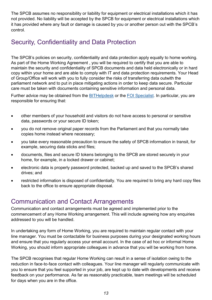The SPCB assumes no responsibility or liability for equipment or electrical installations which it has not provided. No liability will be accepted by the SPCB for equipment or electrical installations which it has provided where any fault or damage is caused by you or another person out with the SPCB's control.

#### Security, Confidentiality and Data Protection

The SPCB's policies on security, confidentiality and data protection apply equally to home working. As part of the Home Working Agreement , you will be required to certify that you are able to maintain the security and confidentiality of SPCB documents and data held electronically or in hard copy within your home and are able to comply with IT and data protection requirements. Your Head of Group/Office will work with you to fully consider the risks of transferring data outwith the parliament network and to put in place mitigating actions in order to keep data secure. Particular care must be taken with documents containing sensitive information and personal data.

Further advice may be obtained from the [BITHelpdesk](http://www.scottish.parliament.uk/msps/12489.aspxC:/Users/S805186/Documents/Add-in%20Express) or the [FOI Specialist.](http://www.scottish.parliament.uk/abouttheparliament/17699.aspxC:/Users/S805186/Documents/Add-in%20Express) In particular, you are responsible for ensuring that:

- other members of your household and visitors do not have access to personal or sensitive data, passwords or your secure ID token;
- you do not remove original paper records from the Parliament and that you normally take copies home instead where necessary;
- you take every reasonable precaution to ensure the safety of SPCB information in transit, for example, securing data sticks and files;
- documents, files and secure ID tokens belonging to the SPCB are stored securely in your home, for example, in a locked drawer or cabinet;
- electronic data is properly password protected, backed up and saved to the SPCB's shared drives; and
- restricted information is disposed of confidentially. You are required to bring any hard copy files back to the office to ensure appropriate disposal.

#### Communication and Contact Arrangements

Communication and contact arrangements must be agreed and implemented prior to the commencement of any Home Working arrangement. This will include agreeing how any enquiries addressed to you will be handled.

In undertaking any form of Home Working, you are required to maintain regular contact with your line manager. You must be contactable for business purposes during your designated working hours and ensure that you regularly access your email account. In the case of ad hoc or informal Home Working, you should inform appropriate colleagues in advance that you will be working from home.

The SPCB recognises that regular Home Working can result in a sense of isolation owing to the reduction in face-to-face contact with colleagues. Your line manager will regularly communicate with you to ensure that you feel supported in your job, are kept up to date with developments and receive feedback on your performance. As far as reasonably practicable, team meetings will be scheduled for days when you are in the office.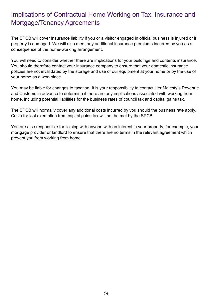#### Implications of Contractual Home Working on Tax, Insurance and Mortgage/Tenancy Agreements

The SPCB will cover insurance liability if you or a visitor engaged in official business is injured or if property is damaged. We will also meet any additional insurance premiums incurred by you as a consequence of the home-working arrangement.

You will need to consider whether there are implications for your buildings and contents insurance. You should therefore contact your insurance company to ensure that your domestic insurance policies are not invalidated by the storage and use of our equipment at your home or by the use of your home as a workplace.

You may be liable for changes to taxation. It is your responsibility to contact Her Majesty's Revenue and Customs in advance to determine if there are any implications associated with working from home, including potential liabilities for the business rates of council tax and capital gains tax.

The SPCB will normally cover any additional costs incurred by you should the business rate apply. Costs for lost exemption from capital gains tax will not be met by the SPCB.

You are also responsible for liaising with anyone with an interest in your property, for example, your mortgage provider or landlord to ensure that there are no terms in the relevant agreement which prevent you from working from home.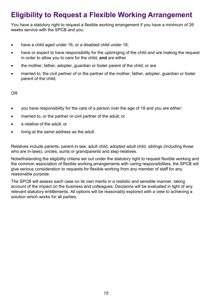# **Eligibility to Request a Flexible Working Arrangement**

You have a statutory right to request a flexible working arrangement if you have a minimum of 26 weeks service with the SPCB and you:

- have a child aged under 16, or a disabled child under 18;
- have or expect to have responsibility for the upbringing of the child and are making the request in order to allow you to care for the child; **and** are either
- the mother, father, adopter, quardian or foster parent of the child; or are
- married to, the civil partner of or the partner of the mother, father, adopter, quardian or foster parent of the child;

OR

- you have responsibility for the care of a person over the age of 18 and you are either:
- married to, or the partner or civil partner of the adult; or
- a relative of the adult; or
- living at the same address as the adult.

Relatives include parents, parent-in-law, adult child, adopted adult child, siblings (including those who are in-laws), uncles, aunts or grandparents and step-relatives.

Notwithstanding the eligibility criteria set out under the statutory right to request flexible working and the common association of flexible working arrangements with caring responsibilities, the SPCB will give serious consideration to requests for flexible working from any member of staff for any reasonable purpose.

The SPCB will assess each case on its own merits in a realistic and sensible manner, taking account of the impact on the business and colleagues. Decisions will be evaluated in light of any relevant statutory entitlements. All options will be reasonably explored with a view to achieving a solution which works for all parties.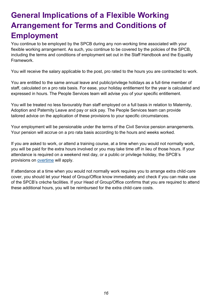# **General Implications of a Flexible Working Arrangement for Terms and Conditions of Employment**

You continue to be employed by the SPCB during any non-working time associated with your flexible working arrangement. As such, you continue to be covered by the policies of the SPCB, including the terms and conditions of employment set out in the Staff Handbook and the Equality Framework.

You will receive the salary applicable to the post, pro rated to the hours you are contracted to work.

You are entitled to the same annual leave and public/privilege holidays as a full-time member of staff, calculated on a pro rata basis. For ease, your holiday entitlement for the year is calculated and expressed in hours. The People Services team will advise you of your specific entitlement.

You will be treated no less favourably than staff employed on a full basis in relation to Maternity, Adoption and Paternity Leave and pay or sick pay. The People Services team can provide tailored advice on the application of these provisions to your specific circumstances.

Your employment will be pensionable under the terms of the Civil Service pension arrangements. Your pension will accrue on a pro rata basis according to the hours and weeks worked.

If you are asked to work, or attend a training course, at a time when you would not normally work, you will be paid for the extra hours involved or you may take time off in lieu of those hours. If your attendance is required on a weekend rest day, or a public or privilege holiday, the SPCB's provisions on [overtime](https://www.spstaffhandbook.com/_files/ugd/0e32dc_45615ddbc0124a52bc99b6ca67e06f48.pdf?index=true) will apply.

If attendance at a time when you would not normally work requires you to arrange extra child-care cover, you should let your Head of Group/Office know immediately and check if you can make use of the SPCB's crèche facilities. If your Head of Group/Office confirms that you are required to attend these additional hours, you will be reimbursed for the extra child-care costs.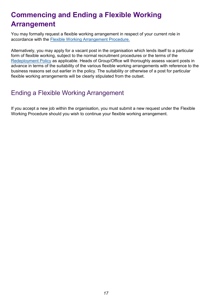# **Commencing and Ending a Flexible Working Arrangement**

You may formally request a flexible working arrangement in respect of your current role in accordance with the [Flexible Working Arrangement Procedure.](https://www.spstaffhandbook.com/your-pay-hours-holidays#:~:text=working%20policy%C2%A0and-,procedure,-%2C%20and%20in%20the)

Alternatively, you may apply for a vacant post in the organisation which lends itself to a particular form of flexible working, subject to the normal recruitment procedures or the terms of the [Redeployment Policy](https://www.spstaffhandbook.com/_files/ugd/0e32dc_bbdfca7736d14ec4ba386a3d931908ee.pdf?index=true) as applicable. Heads of Group/Office will thoroughly assess vacant posts in advance in terms of the suitability of the various flexible working arrangements with reference to the business reasons set out earlier in the policy. The suitability or otherwise of a post for particular flexible working arrangements will be clearly stipulated from the outset.

#### Ending a Flexible Working Arrangement

If you accept a new job within the organisation, you must submit a new request under the Flexible Working Procedure should you wish to continue your flexible working arrangement.